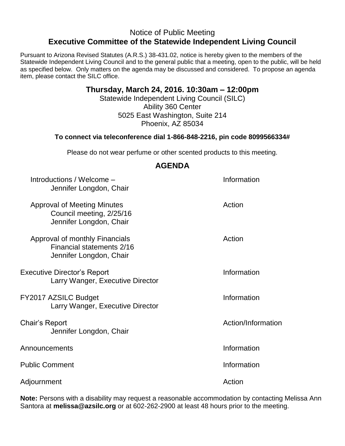## Notice of Public Meeting **Executive Committee of the Statewide Independent Living Council**

Pursuant to Arizona Revised Statutes (A.R.S.) 38-431.02, notice is hereby given to the members of the Statewide Independent Living Council and to the general public that a meeting, open to the public, will be held as specified below. Only matters on the agenda may be discussed and considered. To propose an agenda item, please contact the SILC office.

## **Thursday, March 24, 2016. 10:30am – 12:00pm**

Statewide Independent Living Council (SILC) Ability 360 Center 5025 East Washington, Suite 214 Phoenix, AZ 85034

## **To connect via teleconference dial 1-866-848-2216, pin code 8099566334#**

Please do not wear perfume or other scented products to this meeting.

| AULIVUA                                                                                   |                    |
|-------------------------------------------------------------------------------------------|--------------------|
| Introductions / Welcome -<br>Jennifer Longdon, Chair                                      | Information        |
| <b>Approval of Meeting Minutes</b><br>Council meeting, 2/25/16<br>Jennifer Longdon, Chair | Action             |
| Approval of monthly Financials<br>Financial statements 2/16<br>Jennifer Longdon, Chair    | Action             |
| <b>Executive Director's Report</b><br>Larry Wanger, Executive Director                    | Information        |
| FY2017 AZSILC Budget<br>Larry Wanger, Executive Director                                  | Information        |
| Chair's Report<br>Jennifer Longdon, Chair                                                 | Action/Information |
| Announcements                                                                             | Information        |
| <b>Public Comment</b>                                                                     | Information        |
| Adjournment                                                                               | Action             |

**Note:** Persons with a disability may request a reasonable accommodation by contacting Melissa Ann Santora at **melissa@azsilc.org** or at 602-262-2900 at least 48 hours prior to the meeting.

## **AGENDA**